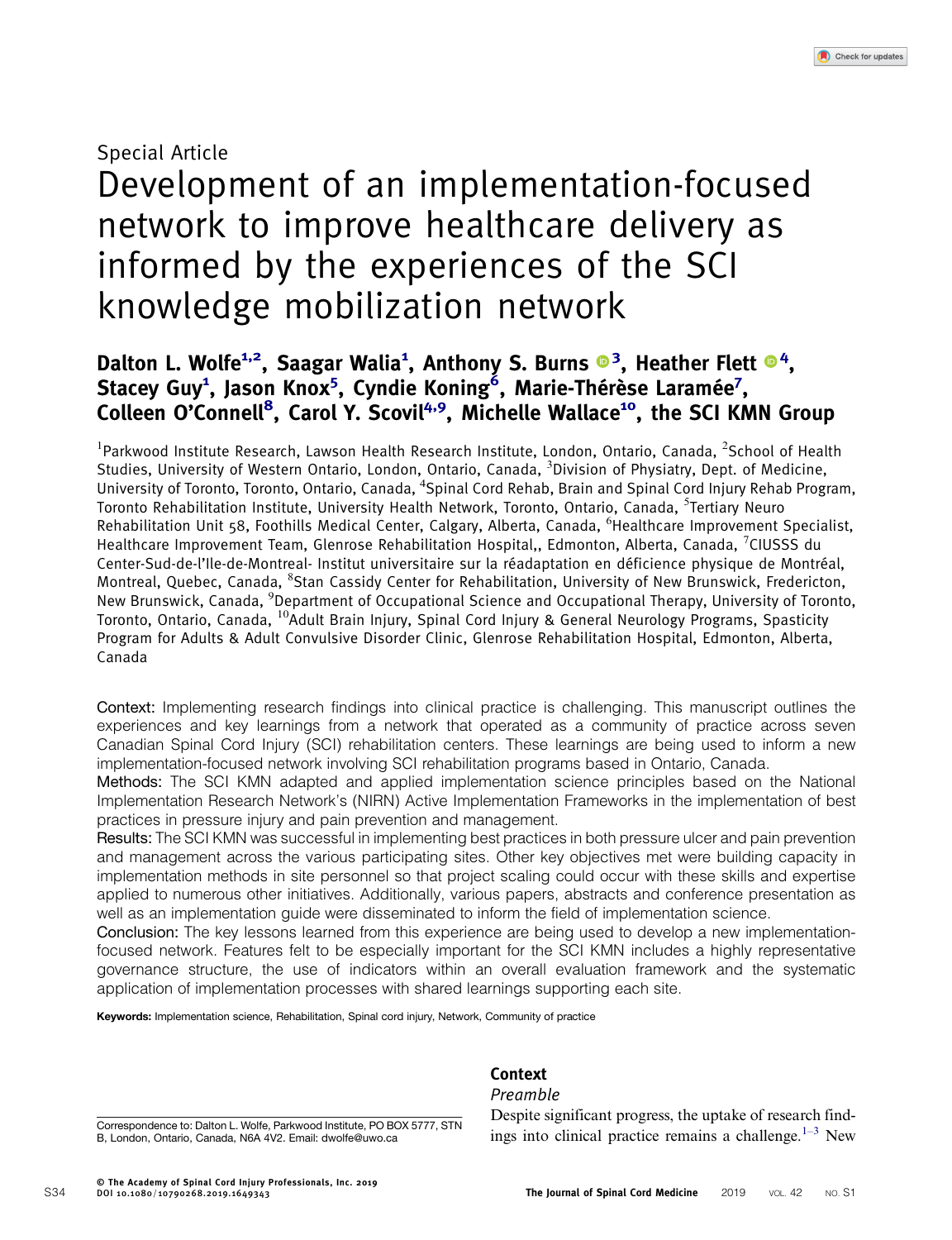

# <span id="page-0-0"></span>Special Article

# Development of an implementation-focused network to improve healthcare delivery as informed by the experiences of the SCI knowledge mobilization network

# Dalton L. Wolfe<sup>1,2</sup>, Saagar Walia<sup>1</sup>, Anthony S. Burns <sup>®3</sup>, Heather Flett <sup>®4</sup>, Stacey Guy<sup>1</sup>, Jason Knox<sup>5</sup>, Cyndie Koning<sup>6</sup>, Marie-Thérèse Laramée<sup>7</sup>, Colleen O'Connell<sup>8</sup>, Carol Y. Scovil<sup>4,9</sup>, Michelle Wallace<sup>10</sup>, the SCI KMN Group

<sup>1</sup>Parkwood Institute Research, Lawson Health Research Institute, London, Ontario, Canada, <sup>2</sup>School of Health Studies, University of Western Ontario, London, Ontario, Canada, <sup>3</sup>Division of Physiatry, Dept. of Medicine, University of Toronto, Toronto, Ontario, Canada, <sup>4</sup>Spinal Cord Rehab, Brain and Spinal Cord Injury Rehab Program, Toronto Rehabilitation Institute, University Health Network, Toronto, Ontario, Canada, <sup>5</sup>Tertiary Neuro Rehabilitation Unit 58, Foothills Medical Center, Calgary, Alberta, Canada, <sup>6</sup>Healthcare Improvement Specialist, Healthcare Improvement Team, Glenrose Rehabilitation Hospital,, Edmonton, Alberta, Canada, <sup>7</sup>CIUSSS du Center-Sud-de-l'Ile-de-Montreal- Institut universitaire sur la réadaptation en déficience physique de Montréal, Montreal, Quebec, Canada, <sup>8</sup>Stan Cassidy Center for Rehabilitation, University of New Brunswick, Fredericton, New Brunswick, Canada, <sup>9</sup>Department of Occupational Science and Occupational Therapy, University of Toronto, Toronto, Ontario, Canada, <sup>10</sup>Adult Brain Injury, Spinal Cord Injury & General Neurology Programs, Spasticity Program for Adults & Adult Convulsive Disorder Clinic, Glenrose Rehabilitation Hospital, Edmonton, Alberta, Canada

Context: Implementing research findings into clinical practice is challenging. This manuscript outlines the experiences and key learnings from a network that operated as a community of practice across seven Canadian Spinal Cord Injury (SCI) rehabilitation centers. These learnings are being used to inform a new implementation-focused network involving SCI rehabilitation programs based in Ontario, Canada.

Methods: The SCI KMN adapted and applied implementation science principles based on the National Implementation Research Network's (NIRN) Active Implementation Frameworks in the implementation of best practices in pressure injury and pain prevention and management.

Results: The SCI KMN was successful in implementing best practices in both pressure ulcer and pain prevention and management across the various participating sites. Other key objectives met were building capacity in implementation methods in site personnel so that project scaling could occur with these skills and expertise applied to numerous other initiatives. Additionally, various papers, abstracts and conference presentation as well as an implementation guide were disseminated to inform the field of implementation science.

Conclusion: The key lessons learned from this experience are being used to develop a new implementationfocused network. Features felt to be especially important for the SCI KMN includes a highly representative governance structure, the use of indicators within an overall evaluation framework and the systematic application of implementation processes with shared learnings supporting each site.

Keywords: Implementation science, Rehabilitation, Spinal cord injury, Network, Community of practice

B, London, Ontario, Canada, N6A 4V2. Email: [dwolfe@uwo.ca](mailto:dwolfe@uwo.ca)

# Context

#### Preamble

Despite significant progress, the uptake of research find-Correspondence to: Dalton L. Wolfe, Parkwood Institute, PO BOX 5777, STN<br>B. London, Ontario, Canada, N6A 4V2. Email: dwolfe@uwo.ca ings into clinical practice remains a challenge.<sup>[1](#page-7-0)–3</sup> New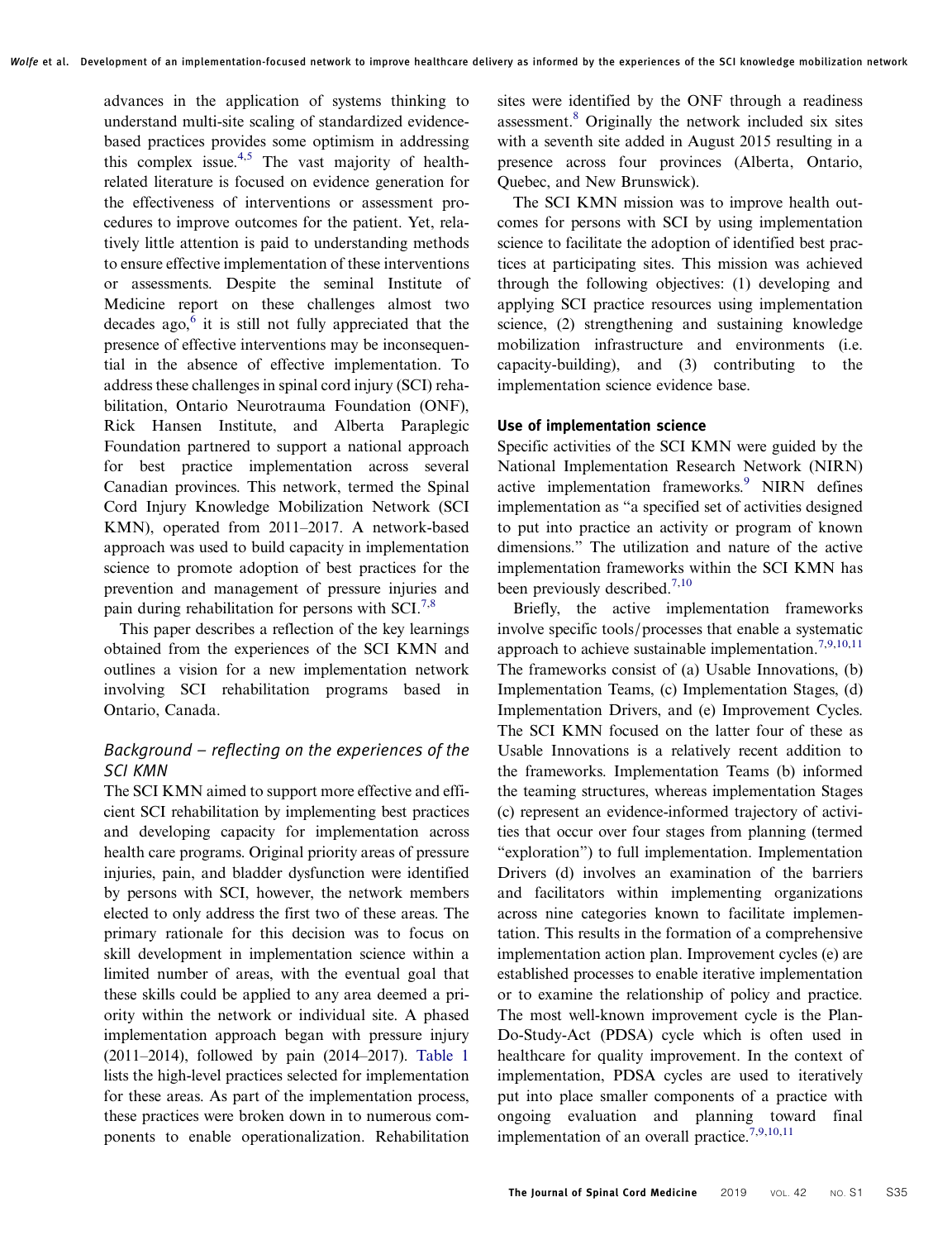<span id="page-1-0"></span>advances in the application of systems thinking to understand multi-site scaling of standardized evidencebased practices provides some optimism in addressing this complex issue.<sup>[4,5](#page-8-0)</sup> The vast majority of healthrelated literature is focused on evidence generation for the effectiveness of interventions or assessment procedures to improve outcomes for the patient. Yet, relatively little attention is paid to understanding methods to ensure effective implementation of these interventions or assessments. Despite the seminal Institute of Medicine report on these challenges almost two decades ago, $6$  it is still not fully appreciated that the presence of effective interventions may be inconsequential in the absence of effective implementation. To address these challenges in spinal cord injury (SCI) rehabilitation, Ontario Neurotrauma Foundation (ONF), Rick Hansen Institute, and Alberta Paraplegic Foundation partnered to support a national approach for best practice implementation across several Canadian provinces. This network, termed the Spinal Cord Injury Knowledge Mobilization Network (SCI KMN), operated from 2011–2017. A network-based approach was used to build capacity in implementation science to promote adoption of best practices for the prevention and management of pressure injuries and pain during rehabilitation for persons with  $SCI^{7,8}$  $SCI^{7,8}$  $SCI^{7,8}$ 

This paper describes a reflection of the key learnings obtained from the experiences of the SCI KMN and outlines a vision for a new implementation network involving SCI rehabilitation programs based in Ontario, Canada.

## Background – reflecting on the experiences of the SCI KMN

The SCI KMN aimed to support more effective and efficient SCI rehabilitation by implementing best practices and developing capacity for implementation across health care programs. Original priority areas of pressure injuries, pain, and bladder dysfunction were identified by persons with SCI, however, the network members elected to only address the first two of these areas. The primary rationale for this decision was to focus on skill development in implementation science within a limited number of areas, with the eventual goal that these skills could be applied to any area deemed a priority within the network or individual site. A phased implementation approach began with pressure injury (2011–2014), followed by pain (2014–2017). [Table 1](#page-2-0) lists the high-level practices selected for implementation for these areas. As part of the implementation process, these practices were broken down in to numerous components to enable operationalization. Rehabilitation

sites were identified by the ONF through a readiness assessment.[8](#page-8-0) Originally the network included six sites with a seventh site added in August 2015 resulting in a presence across four provinces (Alberta, Ontario, Quebec, and New Brunswick).

The SCI KMN mission was to improve health outcomes for persons with SCI by using implementation science to facilitate the adoption of identified best practices at participating sites. This mission was achieved through the following objectives: (1) developing and applying SCI practice resources using implementation science, (2) strengthening and sustaining knowledge mobilization infrastructure and environments (i.e. capacity-building), and (3) contributing to the implementation science evidence base.

#### Use of implementation science

Specific activities of the SCI KMN were guided by the National Implementation Research Network (NIRN) active implementation frameworks.<sup>[9](#page-8-0)</sup> NIRN defines implementation as "a specified set of activities designed to put into practice an activity or program of known dimensions." The utilization and nature of the active implementation frameworks within the SCI KMN has been previously described.<sup>[7,10](#page-8-0)</sup>

Briefly, the active implementation frameworks involve specific tools/processes that enable a systematic approach to achieve sustainable implementation.<sup>[7,9,10,11](#page-8-0)</sup> The frameworks consist of (a) Usable Innovations, (b) Implementation Teams, (c) Implementation Stages, (d) Implementation Drivers, and (e) Improvement Cycles. The SCI KMN focused on the latter four of these as Usable Innovations is a relatively recent addition to the frameworks. Implementation Teams (b) informed the teaming structures, whereas implementation Stages (c) represent an evidence-informed trajectory of activities that occur over four stages from planning (termed "exploration") to full implementation. Implementation Drivers (d) involves an examination of the barriers and facilitators within implementing organizations across nine categories known to facilitate implementation. This results in the formation of a comprehensive implementation action plan. Improvement cycles (e) are established processes to enable iterative implementation or to examine the relationship of policy and practice. The most well-known improvement cycle is the Plan-Do-Study-Act (PDSA) cycle which is often used in healthcare for quality improvement. In the context of implementation, PDSA cycles are used to iteratively put into place smaller components of a practice with ongoing evaluation and planning toward final implementation of an overall practice.<sup>[7,9,10,11](#page-8-0)</sup>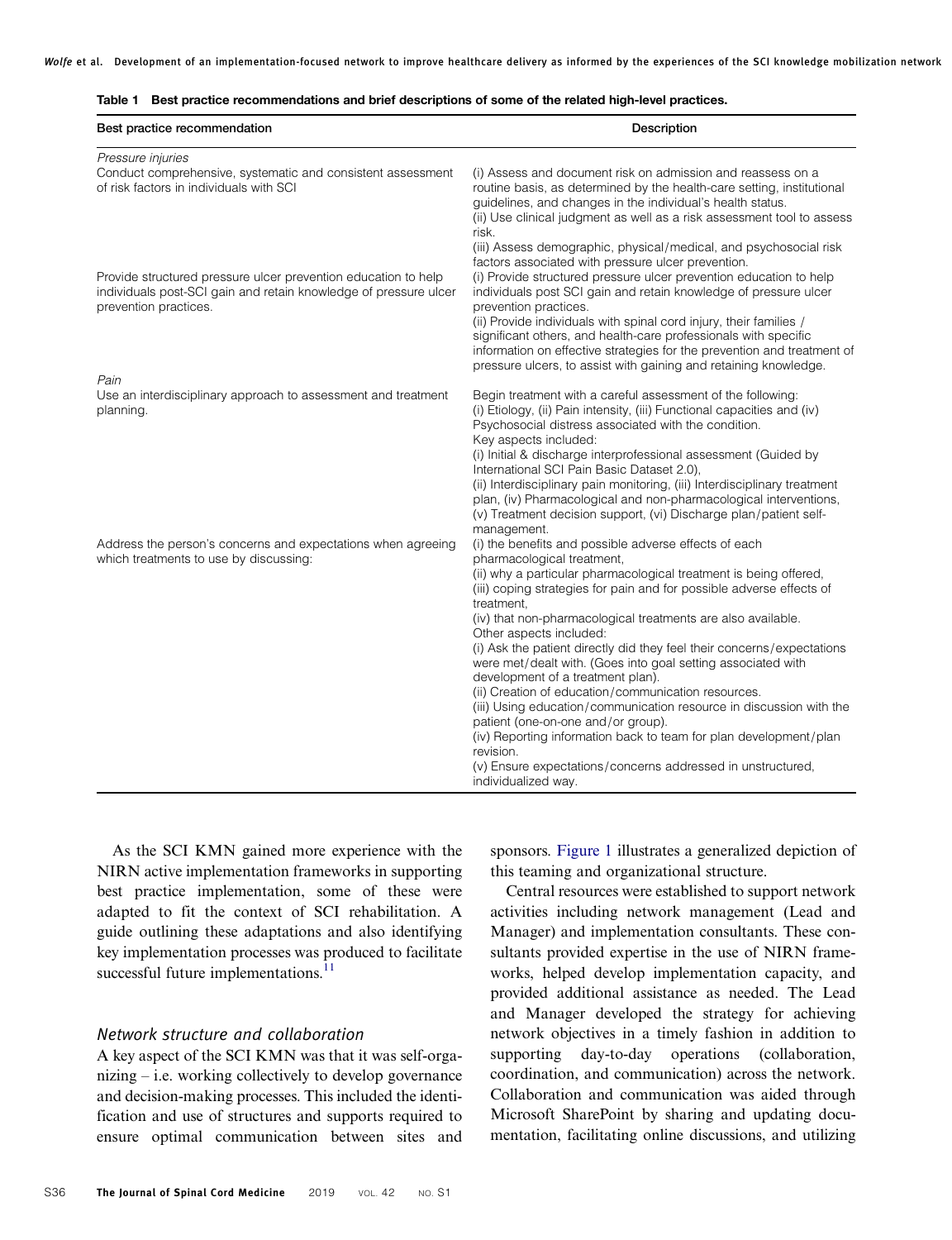| Best practice recommendation                                                                                                                                | Description                                                                                                                                                                                                                                                                                                                                                                                                                                                                                                                                                                                                                                                                                                                                                                                                                                                          |  |  |  |  |
|-------------------------------------------------------------------------------------------------------------------------------------------------------------|----------------------------------------------------------------------------------------------------------------------------------------------------------------------------------------------------------------------------------------------------------------------------------------------------------------------------------------------------------------------------------------------------------------------------------------------------------------------------------------------------------------------------------------------------------------------------------------------------------------------------------------------------------------------------------------------------------------------------------------------------------------------------------------------------------------------------------------------------------------------|--|--|--|--|
| Pressure injuries<br>Conduct comprehensive, systematic and consistent assessment<br>of risk factors in individuals with SCI                                 | (i) Assess and document risk on admission and reassess on a<br>routine basis, as determined by the health-care setting, institutional<br>guidelines, and changes in the individual's health status.<br>(ii) Use clinical judgment as well as a risk assessment tool to assess<br>risk.<br>(iii) Assess demographic, physical/medical, and psychosocial risk                                                                                                                                                                                                                                                                                                                                                                                                                                                                                                          |  |  |  |  |
| Provide structured pressure ulcer prevention education to help<br>individuals post-SCI gain and retain knowledge of pressure ulcer<br>prevention practices. | factors associated with pressure ulcer prevention.<br>(i) Provide structured pressure ulcer prevention education to help<br>individuals post SCI gain and retain knowledge of pressure ulcer<br>prevention practices.<br>(ii) Provide individuals with spinal cord injury, their families /<br>significant others, and health-care professionals with specific<br>information on effective strategies for the prevention and treatment of<br>pressure ulcers, to assist with gaining and retaining knowledge.                                                                                                                                                                                                                                                                                                                                                        |  |  |  |  |
| Pain<br>Use an interdisciplinary approach to assessment and treatment<br>planning.                                                                          | Begin treatment with a careful assessment of the following:<br>(i) Etiology, (ii) Pain intensity, (iii) Functional capacities and (iv)<br>Psychosocial distress associated with the condition.<br>Key aspects included:<br>(i) Initial & discharge interprofessional assessment (Guided by<br>International SCI Pain Basic Dataset 2.0),<br>(ii) Interdisciplinary pain monitoring, (iii) Interdisciplinary treatment<br>plan, (iv) Pharmacological and non-pharmacological interventions,<br>(v) Treatment decision support, (vi) Discharge plan/patient self-<br>management.                                                                                                                                                                                                                                                                                       |  |  |  |  |
| Address the person's concerns and expectations when agreeing<br>which treatments to use by discussing:                                                      | (i) the benefits and possible adverse effects of each<br>pharmacological treatment,<br>(ii) why a particular pharmacological treatment is being offered,<br>(iii) coping strategies for pain and for possible adverse effects of<br>treatment.<br>(iv) that non-pharmacological treatments are also available.<br>Other aspects included:<br>(i) Ask the patient directly did they feel their concerns/expectations<br>were met/dealt with. (Goes into goal setting associated with<br>development of a treatment plan).<br>(ii) Creation of education/communication resources.<br>(iii) Using education/communication resource in discussion with the<br>patient (one-on-one and/or group).<br>(iv) Reporting information back to team for plan development/plan<br>revision.<br>(v) Ensure expectations/concerns addressed in unstructured,<br>individualized way. |  |  |  |  |

<span id="page-2-0"></span>

|  | Table 1 Best practice recommendations and brief descriptions of some of the related high-level practices. |  |  |  |
|--|-----------------------------------------------------------------------------------------------------------|--|--|--|
|  |                                                                                                           |  |  |  |

As the SCI KMN gained more experience with the NIRN active implementation frameworks in supporting best practice implementation, some of these were adapted to fit the context of SCI rehabilitation. A guide outlining these adaptations and also identifying key implementation processes was produced to facilitate successful future implementations. $11$ 

#### Network structure and collaboration

A key aspect of the SCI KMN was that it was self-organizing – i.e. working collectively to develop governance and decision-making processes. This included the identification and use of structures and supports required to ensure optimal communication between sites and sponsors. [Figure 1](#page-3-0) illustrates a generalized depiction of this teaming and organizational structure.

Central resources were established to support network activities including network management (Lead and Manager) and implementation consultants. These consultants provided expertise in the use of NIRN frameworks, helped develop implementation capacity, and provided additional assistance as needed. The Lead and Manager developed the strategy for achieving network objectives in a timely fashion in addition to supporting day-to-day operations (collaboration, coordination, and communication) across the network. Collaboration and communication was aided through Microsoft SharePoint by sharing and updating documentation, facilitating online discussions, and utilizing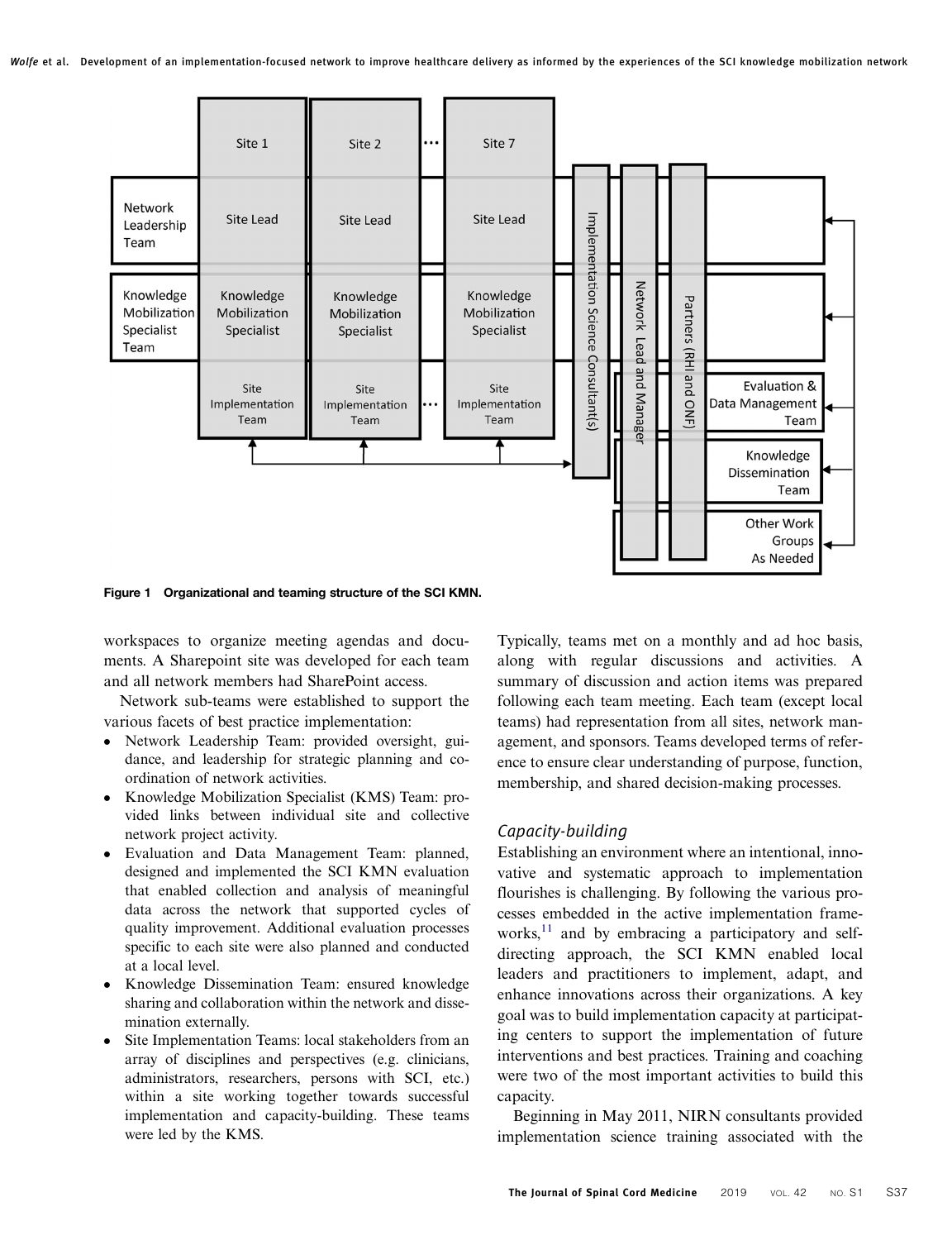<span id="page-3-0"></span>

Figure 1 Organizational and teaming structure of the SCI KMN.

workspaces to organize meeting agendas and documents. A Sharepoint site was developed for each team and all network members had SharePoint access.

Network sub-teams were established to support the various facets of best practice implementation:

- Network Leadership Team: provided oversight, guidance, and leadership for strategic planning and coordination of network activities.
- Knowledge Mobilization Specialist (KMS) Team: provided links between individual site and collective network project activity.
- Evaluation and Data Management Team: planned, designed and implemented the SCI KMN evaluation that enabled collection and analysis of meaningful data across the network that supported cycles of quality improvement. Additional evaluation processes specific to each site were also planned and conducted at a local level.
- Knowledge Dissemination Team: ensured knowledge sharing and collaboration within the network and dissemination externally.
- Site Implementation Teams: local stakeholders from an array of disciplines and perspectives (e.g. clinicians, administrators, researchers, persons with SCI, etc.) within a site working together towards successful implementation and capacity-building. These teams were led by the KMS.

Typically, teams met on a monthly and ad hoc basis, along with regular discussions and activities. A summary of discussion and action items was prepared following each team meeting. Each team (except local teams) had representation from all sites, network management, and sponsors. Teams developed terms of reference to ensure clear understanding of purpose, function, membership, and shared decision-making processes.

#### Capacity-building

Establishing an environment where an intentional, innovative and systematic approach to implementation flourishes is challenging. By following the various processes embedded in the active implementation frameworks, $^{11}$  $^{11}$  $^{11}$  and by embracing a participatory and selfdirecting approach, the SCI KMN enabled local leaders and practitioners to implement, adapt, and enhance innovations across their organizations. A key goal was to build implementation capacity at participating centers to support the implementation of future interventions and best practices. Training and coaching were two of the most important activities to build this capacity.

Beginning in May 2011, NIRN consultants provided implementation science training associated with the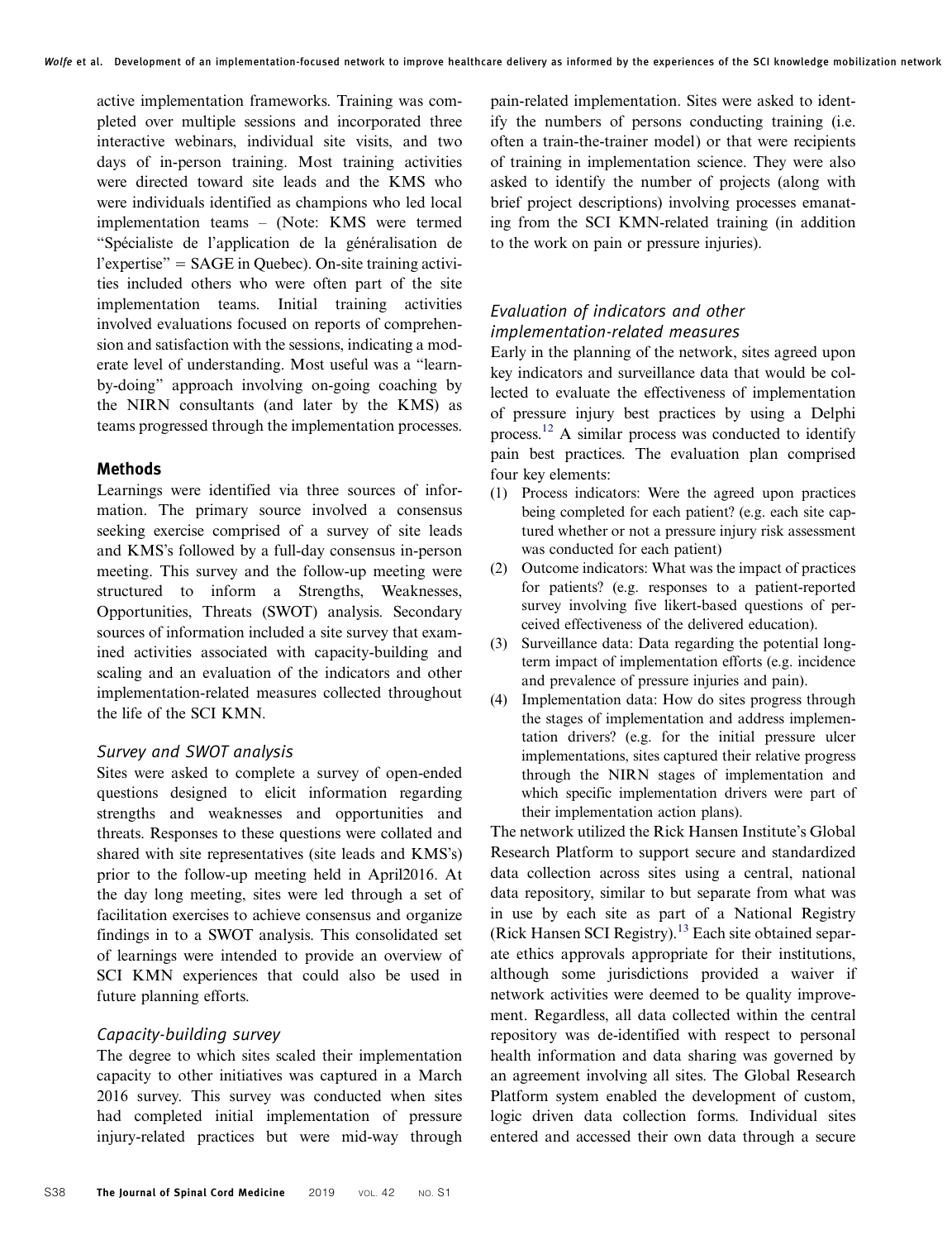<span id="page-4-0"></span>active implementation frameworks. Training was completed over multiple sessions and incorporated three interactive webinars, individual site visits, and two days of in-person training. Most training activities were directed toward site leads and the KMS who were individuals identified as champions who led local implementation teams – (Note: KMS were termed "Spécialiste de l'application de la généralisation de l'expertise" = SAGE in Quebec). On-site training activities included others who were often part of the site implementation teams. Initial training activities involved evaluations focused on reports of comprehension and satisfaction with the sessions, indicating a moderate level of understanding. Most useful was a "learnby-doing" approach involving on-going coaching by the NIRN consultants (and later by the KMS) as teams progressed through the implementation processes.

#### Methods

Learnings were identified via three sources of information. The primary source involved a consensus seeking exercise comprised of a survey of site leads and KMS's followed by a full-day consensus in-person meeting. This survey and the follow-up meeting were structured to inform a Strengths, Weaknesses, Opportunities, Threats (SWOT) analysis. Secondary sources of information included a site survey that examined activities associated with capacity-building and scaling and an evaluation of the indicators and other implementation-related measures collected throughout the life of the SCI KMN.

#### Survey and SWOT analysis

Sites were asked to complete a survey of open-ended questions designed to elicit information regarding strengths and weaknesses and opportunities and threats. Responses to these questions were collated and shared with site representatives (site leads and KMS's) prior to the follow-up meeting held in April2016. At the day long meeting, sites were led through a set of facilitation exercises to achieve consensus and organize findings in to a SWOT analysis. This consolidated set of learnings were intended to provide an overview of SCI KMN experiences that could also be used in future planning efforts.

#### Capacity-building survey

The degree to which sites scaled their implementation capacity to other initiatives was captured in a March 2016 survey. This survey was conducted when sites had completed initial implementation of pressure injury-related practices but were mid-way through pain-related implementation. Sites were asked to identify the numbers of persons conducting training (i.e. often a train-the-trainer model) or that were recipients of training in implementation science. They were also asked to identify the number of projects (along with brief project descriptions) involving processes emanating from the SCI KMN-related training (in addition to the work on pain or pressure injuries).

### Evaluation of indicators and other implementation-related measures

Early in the planning of the network, sites agreed upon key indicators and surveillance data that would be collected to evaluate the effectiveness of implementation of pressure injury best practices by using a Delphi process.[12](#page-8-0) A similar process was conducted to identify pain best practices. The evaluation plan comprised four key elements:

- (1) Process indicators: Were the agreed upon practices being completed for each patient? (e.g. each site captured whether or not a pressure injury risk assessment was conducted for each patient)
- (2) Outcome indicators: What was the impact of practices for patients? (e.g. responses to a patient-reported survey involving five likert-based questions of perceived effectiveness of the delivered education).
- (3) Surveillance data: Data regarding the potential longterm impact of implementation efforts (e.g. incidence and prevalence of pressure injuries and pain).
- (4) Implementation data: How do sites progress through the stages of implementation and address implementation drivers? (e.g. for the initial pressure ulcer implementations, sites captured their relative progress through the NIRN stages of implementation and which specific implementation drivers were part of their implementation action plans).

The network utilized the Rick Hansen Institute's Global Research Platform to support secure and standardized data collection across sites using a central, national data repository, similar to but separate from what was in use by each site as part of a National Registry (Rick Hansen SCI Registry).<sup>[13](#page-8-0)</sup> Each site obtained separate ethics approvals appropriate for their institutions, although some jurisdictions provided a waiver if network activities were deemed to be quality improvement. Regardless, all data collected within the central repository was de-identified with respect to personal health information and data sharing was governed by an agreement involving all sites. The Global Research Platform system enabled the development of custom, logic driven data collection forms. Individual sites entered and accessed their own data through a secure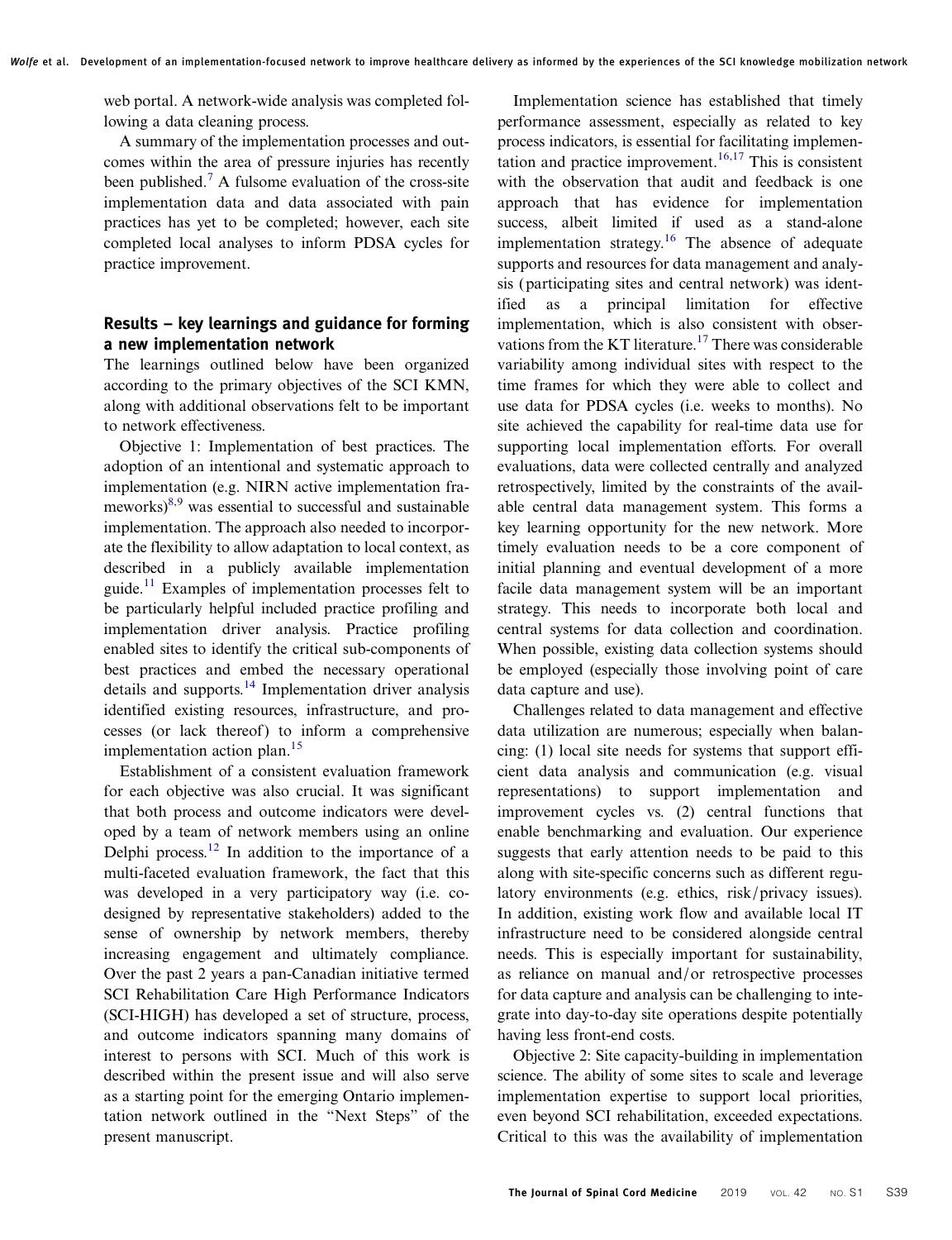<span id="page-5-0"></span>web portal. A network-wide analysis was completed following a data cleaning process.

A summary of the implementation processes and outcomes within the area of pressure injuries has recently been published.<sup>[7](#page-8-0)</sup> A fulsome evaluation of the cross-site implementation data and data associated with pain practices has yet to be completed; however, each site completed local analyses to inform PDSA cycles for practice improvement.

# Results – key learnings and guidance for forming a new implementation network

The learnings outlined below have been organized according to the primary objectives of the SCI KMN, along with additional observations felt to be important to network effectiveness.

Objective 1: Implementation of best practices. The adoption of an intentional and systematic approach to implementation (e.g. NIRN active implementation frameworks) $8,9$  was essential to successful and sustainable implementation. The approach also needed to incorporate the flexibility to allow adaptation to local context, as described in a publicly available implementation guide.<sup>[11](#page-8-0)</sup> Examples of implementation processes felt to be particularly helpful included practice profiling and implementation driver analysis. Practice profiling enabled sites to identify the critical sub-components of best practices and embed the necessary operational details and supports.<sup>[14](#page-8-0)</sup> Implementation driver analysis identified existing resources, infrastructure, and processes (or lack thereof) to inform a comprehensive implementation action plan.<sup>[15](#page-8-0)</sup>

Establishment of a consistent evaluation framework for each objective was also crucial. It was significant that both process and outcome indicators were developed by a team of network members using an online Delphi process.<sup>[12](#page-8-0)</sup> In addition to the importance of a multi-faceted evaluation framework, the fact that this was developed in a very participatory way (i.e. codesigned by representative stakeholders) added to the sense of ownership by network members, thereby increasing engagement and ultimately compliance. Over the past 2 years a pan-Canadian initiative termed SCI Rehabilitation Care High Performance Indicators (SCI-HIGH) has developed a set of structure, process, and outcome indicators spanning many domains of interest to persons with SCI. Much of this work is described within the present issue and will also serve as a starting point for the emerging Ontario implementation network outlined in the "Next Steps" of the present manuscript.

Implementation science has established that timely performance assessment, especially as related to key process indicators, is essential for facilitating implemen-tation and practice improvement.<sup>[16,17](#page-8-0)</sup> This is consistent with the observation that audit and feedback is one approach that has evidence for implementation success, albeit limited if used as a stand-alone implementation strategy.<sup>16</sup> The absence of adequate supports and resources for data management and analysis (participating sites and central network) was identified as a principal limitation for effective implementation, which is also consistent with observations from the KT literature.<sup>17</sup> There was considerable variability among individual sites with respect to the time frames for which they were able to collect and use data for PDSA cycles (i.e. weeks to months). No site achieved the capability for real-time data use for supporting local implementation efforts. For overall evaluations, data were collected centrally and analyzed retrospectively, limited by the constraints of the available central data management system. This forms a key learning opportunity for the new network. More timely evaluation needs to be a core component of initial planning and eventual development of a more facile data management system will be an important strategy. This needs to incorporate both local and central systems for data collection and coordination. When possible, existing data collection systems should be employed (especially those involving point of care data capture and use).

Challenges related to data management and effective data utilization are numerous; especially when balancing: (1) local site needs for systems that support efficient data analysis and communication (e.g. visual representations) to support implementation and improvement cycles vs. (2) central functions that enable benchmarking and evaluation. Our experience suggests that early attention needs to be paid to this along with site-specific concerns such as different regulatory environments (e.g. ethics, risk/privacy issues). In addition, existing work flow and available local IT infrastructure need to be considered alongside central needs. This is especially important for sustainability, as reliance on manual and/or retrospective processes for data capture and analysis can be challenging to integrate into day-to-day site operations despite potentially having less front-end costs.

Objective 2: Site capacity-building in implementation science. The ability of some sites to scale and leverage implementation expertise to support local priorities, even beyond SCI rehabilitation, exceeded expectations. Critical to this was the availability of implementation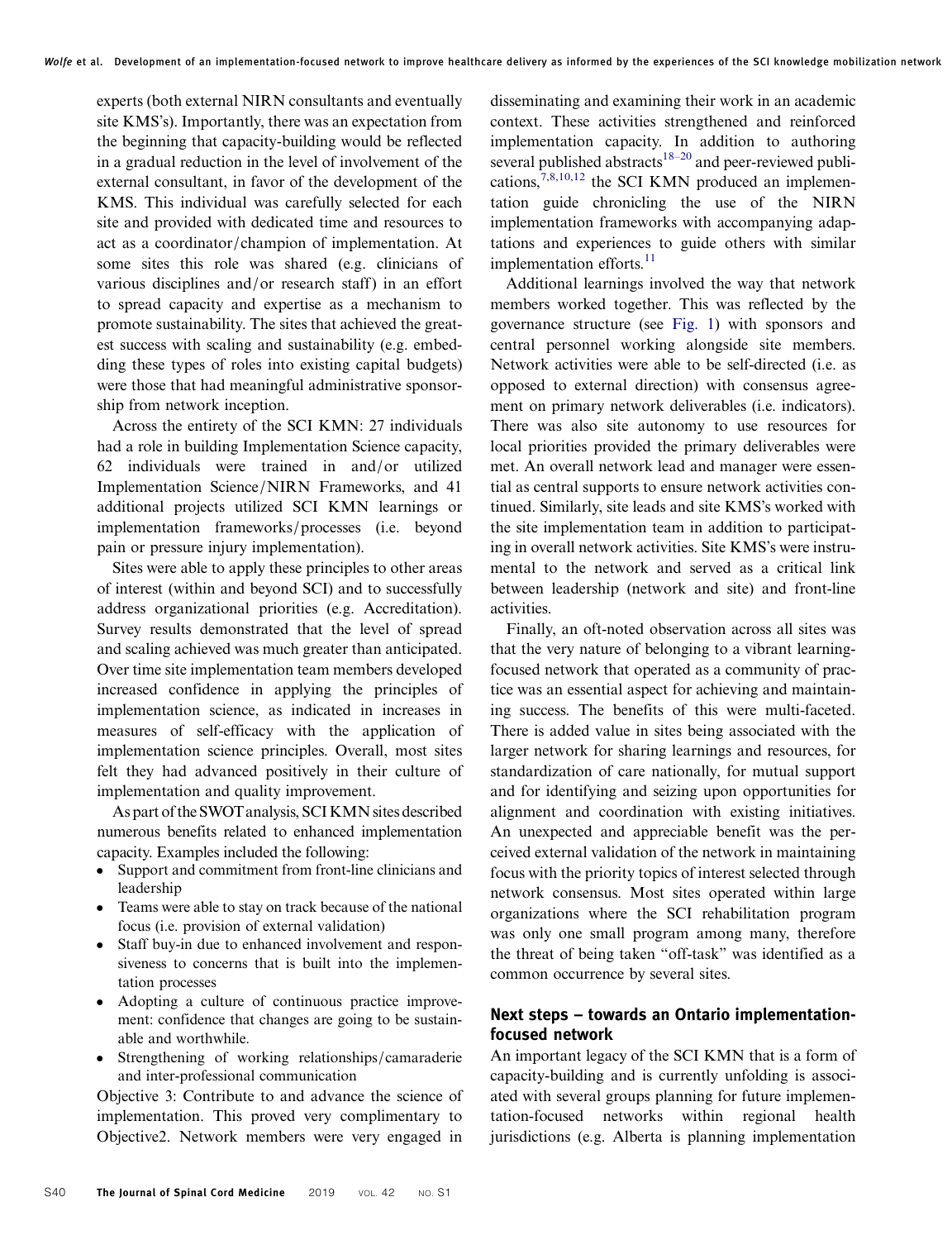<span id="page-6-0"></span>experts (both external NIRN consultants and eventually site KMS's). Importantly, there was an expectation from the beginning that capacity-building would be reflected in a gradual reduction in the level of involvement of the external consultant, in favor of the development of the KMS. This individual was carefully selected for each site and provided with dedicated time and resources to act as a coordinator/champion of implementation. At some sites this role was shared (e.g. clinicians of various disciplines and/or research staff) in an effort to spread capacity and expertise as a mechanism to promote sustainability. The sites that achieved the greatest success with scaling and sustainability (e.g. embedding these types of roles into existing capital budgets) were those that had meaningful administrative sponsorship from network inception.

Across the entirety of the SCI KMN: 27 individuals had a role in building Implementation Science capacity, 62 individuals were trained in and/or utilized Implementation Science/NIRN Frameworks, and 41 additional projects utilized SCI KMN learnings or implementation frameworks/processes (i.e. beyond pain or pressure injury implementation).

Sites were able to apply these principles to other areas of interest (within and beyond SCI) and to successfully address organizational priorities (e.g. Accreditation). Survey results demonstrated that the level of spread and scaling achieved was much greater than anticipated. Over time site implementation team members developed increased confidence in applying the principles of implementation science, as indicated in increases in measures of self-efficacy with the application of implementation science principles. Overall, most sites felt they had advanced positively in their culture of implementation and quality improvement.

As part of the SWOTanalysis, SCI KMN sites described numerous benefits related to enhanced implementation capacity. Examples included the following:

- Support and commitment from front-line clinicians and leadership
- Teams were able to stay on track because of the national focus (i.e. provision of external validation)
- Staff buy-in due to enhanced involvement and responsiveness to concerns that is built into the implementation processes
- Adopting a culture of continuous practice improvement: confidence that changes are going to be sustainable and worthwhile.
- Strengthening of working relationships/camaraderie and inter-professional communication

Objective 3: Contribute to and advance the science of implementation. This proved very complimentary to Objective2. Network members were very engaged in

disseminating and examining their work in an academic context. These activities strengthened and reinforced implementation capacity. In addition to authoring several published abstracts<sup>18–20</sup> and peer-reviewed publications,  $7,8,10,12$  the SCI KMN produced an implementation guide chronicling the use of the NIRN implementation frameworks with accompanying adaptations and experiences to guide others with similar implementation efforts. $^{11}$  $^{11}$  $^{11}$ 

Additional learnings involved the way that network members worked together. This was reflected by the governance structure (see [Fig. 1\)](#page-3-0) with sponsors and central personnel working alongside site members. Network activities were able to be self-directed (i.e. as opposed to external direction) with consensus agreement on primary network deliverables (i.e. indicators). There was also site autonomy to use resources for local priorities provided the primary deliverables were met. An overall network lead and manager were essential as central supports to ensure network activities continued. Similarly, site leads and site KMS's worked with the site implementation team in addition to participating in overall network activities. Site KMS's were instrumental to the network and served as a critical link between leadership (network and site) and front-line activities.

Finally, an oft-noted observation across all sites was that the very nature of belonging to a vibrant learningfocused network that operated as a community of practice was an essential aspect for achieving and maintaining success. The benefits of this were multi-faceted. There is added value in sites being associated with the larger network for sharing learnings and resources, for standardization of care nationally, for mutual support and for identifying and seizing upon opportunities for alignment and coordination with existing initiatives. An unexpected and appreciable benefit was the perceived external validation of the network in maintaining focus with the priority topics of interest selected through network consensus. Most sites operated within large organizations where the SCI rehabilitation program was only one small program among many, therefore the threat of being taken "off-task" was identified as a common occurrence by several sites.

# Next steps – towards an Ontario implementationfocused network

An important legacy of the SCI KMN that is a form of capacity-building and is currently unfolding is associated with several groups planning for future implementation-focused networks within regional health jurisdictions (e.g. Alberta is planning implementation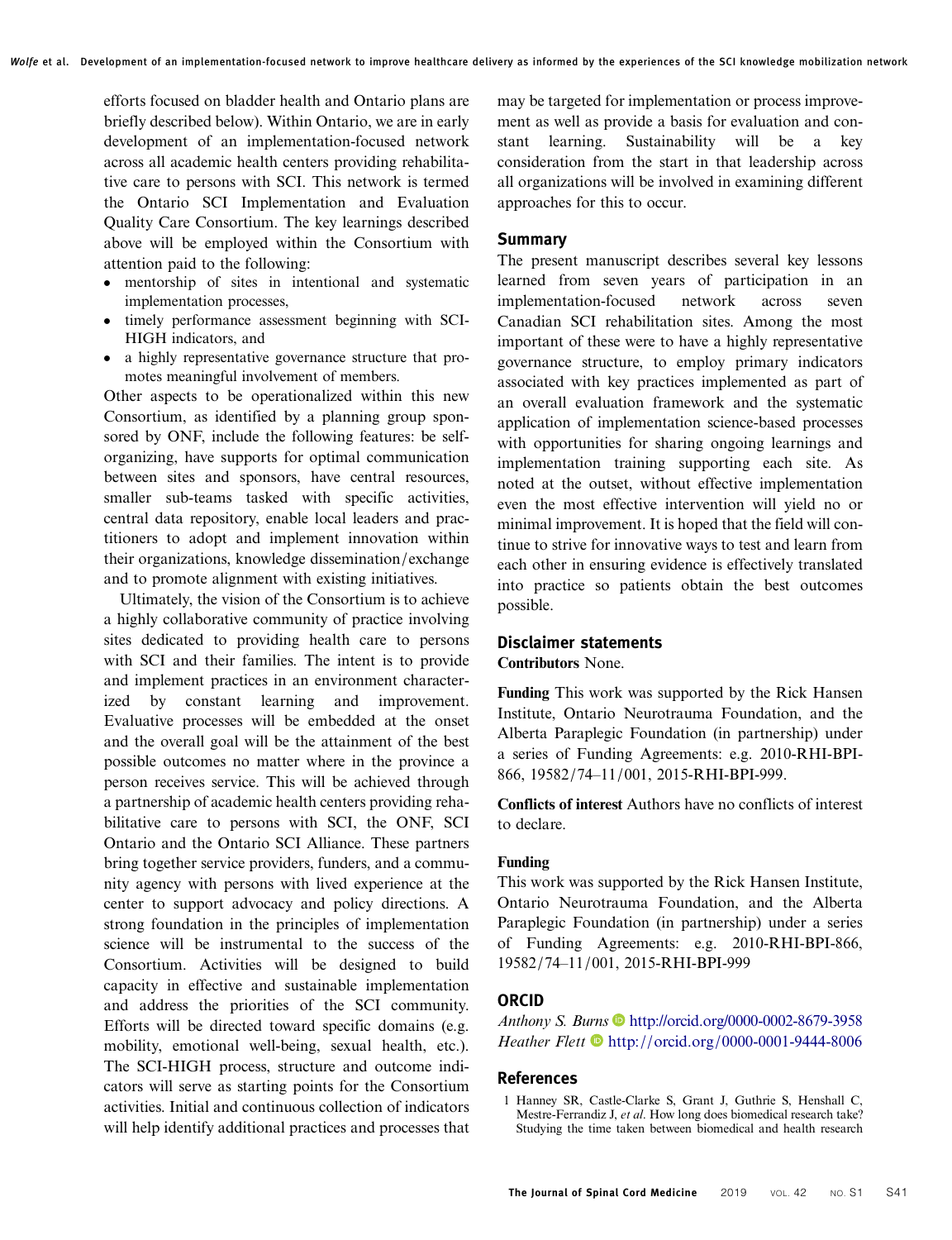<span id="page-7-0"></span>efforts focused on bladder health and Ontario plans are briefly described below). Within Ontario, we are in early development of an implementation-focused network across all academic health centers providing rehabilitative care to persons with SCI. This network is termed the Ontario SCI Implementation and Evaluation Quality Care Consortium. The key learnings described above will be employed within the Consortium with attention paid to the following:

- mentorship of sites in intentional and systematic implementation processes,
- timely performance assessment beginning with SCI-HIGH indicators, and
- a highly representative governance structure that promotes meaningful involvement of members.

Other aspects to be operationalized within this new Consortium, as identified by a planning group sponsored by ONF, include the following features: be selforganizing, have supports for optimal communication between sites and sponsors, have central resources, smaller sub-teams tasked with specific activities, central data repository, enable local leaders and practitioners to adopt and implement innovation within their organizations, knowledge dissemination/exchange and to promote alignment with existing initiatives.

Ultimately, the vision of the Consortium is to achieve a highly collaborative community of practice involving sites dedicated to providing health care to persons with SCI and their families. The intent is to provide and implement practices in an environment characterized by constant learning and improvement. Evaluative processes will be embedded at the onset and the overall goal will be the attainment of the best possible outcomes no matter where in the province a person receives service. This will be achieved through a partnership of academic health centers providing rehabilitative care to persons with SCI, the ONF, SCI Ontario and the Ontario SCI Alliance. These partners bring together service providers, funders, and a community agency with persons with lived experience at the center to support advocacy and policy directions. A strong foundation in the principles of implementation science will be instrumental to the success of the Consortium. Activities will be designed to build capacity in effective and sustainable implementation and address the priorities of the SCI community. Efforts will be directed toward specific domains (e.g. mobility, emotional well-being, sexual health, etc.). The SCI-HIGH process, structure and outcome indicators will serve as starting points for the Consortium activities. Initial and continuous collection of indicators will help identify additional practices and processes that may be targeted for implementation or process improvement as well as provide a basis for evaluation and constant learning. Sustainability will be a key consideration from the start in that leadership across all organizations will be involved in examining different approaches for this to occur.

#### **Summary**

The present manuscript describes several key lessons learned from seven years of participation in an implementation-focused network across seven Canadian SCI rehabilitation sites. Among the most important of these were to have a highly representative governance structure, to employ primary indicators associated with key practices implemented as part of an overall evaluation framework and the systematic application of implementation science-based processes with opportunities for sharing ongoing learnings and implementation training supporting each site. As noted at the outset, without effective implementation even the most effective intervention will yield no or minimal improvement. It is hoped that the field will continue to strive for innovative ways to test and learn from each other in ensuring evidence is effectively translated into practice so patients obtain the best outcomes possible.

#### Disclaimer statements

Contributors None.

Funding This work was supported by the Rick Hansen Institute, Ontario Neurotrauma Foundation, and the Alberta Paraplegic Foundation (in partnership) under a series of Funding Agreements: e.g. 2010-RHI-BPI-866, 19582/74–11/001, 2015-RHI-BPI-999.

Conflicts of interest Authors have no conflicts of interest to declare.

#### Funding

This work was supported by the Rick Hansen Institute, Ontario Neurotrauma Foundation, and the Alberta Paraplegic Foundation (in partnership) under a series of Funding Agreements: e.g. 2010-RHI-BPI-866, 19582/74–11/001, 2015-RHI-BPI-999

#### ORCID

Anthony S. Burns <http://orcid.org/0000-0002-8679-3958> Heather Flett  $\bullet$  [http:](http://orcid.org/0000-0001-9444-8006)//orcid.org/[0000-0001-9444-8006](http://orcid.org/0000-0001-9444-8006)

#### References

<sup>1</sup> Hanney SR, Castle-Clarke S, Grant J, Guthrie S, Henshall C, Mestre-Ferrandiz J, et al. How long does biomedical research take? Studying the time taken between biomedical and health research